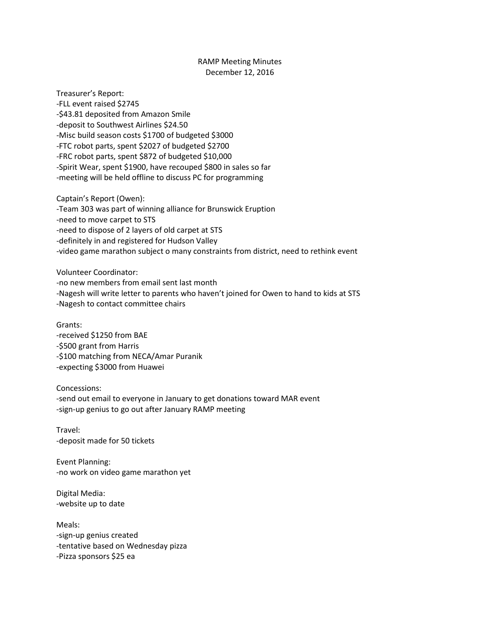## RAMP Meeting Minutes December 12, 2016

Treasurer's Report: -FLL event raised \$2745 -\$43.81 deposited from Amazon Smile -deposit to Southwest Airlines \$24.50 -Misc build season costs \$1700 of budgeted \$3000 -FTC robot parts, spent \$2027 of budgeted \$2700 -FRC robot parts, spent \$872 of budgeted \$10,000 -Spirit Wear, spent \$1900, have recouped \$800 in sales so far -meeting will be held offline to discuss PC for programming

Captain's Report (Owen): -Team 303 was part of winning alliance for Brunswick Eruption -need to move carpet to STS -need to dispose of 2 layers of old carpet at STS -definitely in and registered for Hudson Valley -video game marathon subject o many constraints from district, need to rethink event

Volunteer Coordinator: -no new members from email sent last month -Nagesh will write letter to parents who haven't joined for Owen to hand to kids at STS -Nagesh to contact committee chairs

Grants: -received \$1250 from BAE -\$500 grant from Harris -\$100 matching from NECA/Amar Puranik -expecting \$3000 from Huawei

Concessions: -send out email to everyone in January to get donations toward MAR event -sign-up genius to go out after January RAMP meeting

Travel: -deposit made for 50 tickets

Event Planning: -no work on video game marathon yet

Digital Media: -website up to date

Meals: -sign-up genius created -tentative based on Wednesday pizza -Pizza sponsors \$25 ea